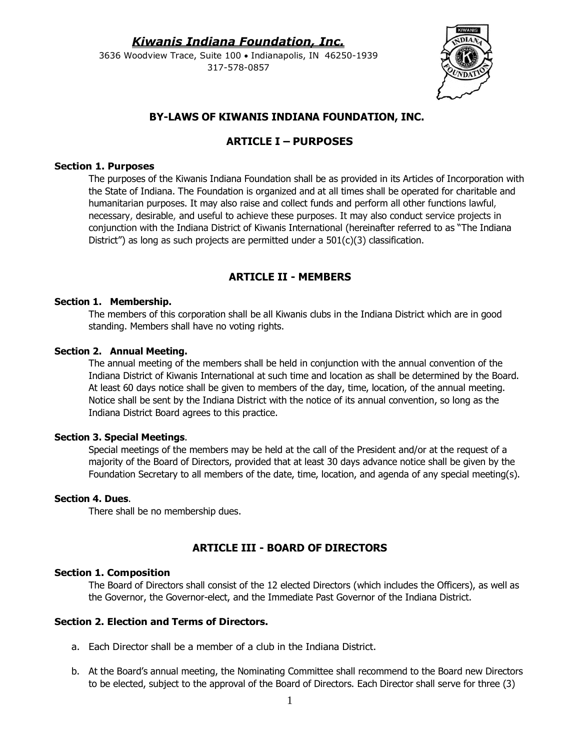3636 Woodview Trace, Suite 100 • Indianapolis, IN 46250-1939 317-578-0857



# **BY-LAWS OF KIWANIS INDIANA FOUNDATION, INC.**

# **ARTICLE I – PURPOSES**

### **Section 1. Purposes**

The purposes of the Kiwanis Indiana Foundation shall be as provided in its Articles of Incorporation with the State of Indiana. The Foundation is organized and at all times shall be operated for charitable and humanitarian purposes. It may also raise and collect funds and perform all other functions lawful, necessary, desirable, and useful to achieve these purposes. It may also conduct service projects in conjunction with the Indiana District of Kiwanis International (hereinafter referred to as "The Indiana District") as long as such projects are permitted under a  $501(c)(3)$  classification.

# **ARTICLE II - MEMBERS**

### **Section 1. Membership.**

The members of this corporation shall be all Kiwanis clubs in the Indiana District which are in good standing. Members shall have no voting rights.

### **Section 2. Annual Meeting.**

The annual meeting of the members shall be held in conjunction with the annual convention of the Indiana District of Kiwanis International at such time and location as shall be determined by the Board. At least 60 days notice shall be given to members of the day, time, location, of the annual meeting. Notice shall be sent by the Indiana District with the notice of its annual convention, so long as the Indiana District Board agrees to this practice.

#### **Section 3. Special Meetings**.

Special meetings of the members may be held at the call of the President and/or at the request of a majority of the Board of Directors, provided that at least 30 days advance notice shall be given by the Foundation Secretary to all members of the date, time, location, and agenda of any special meeting(s).

#### **Section 4. Dues**.

There shall be no membership dues.

# **ARTICLE III - BOARD OF DIRECTORS**

#### **Section 1. Composition**

The Board of Directors shall consist of the 12 elected Directors (which includes the Officers), as well as the Governor, the Governor-elect, and the Immediate Past Governor of the Indiana District.

### **Section 2. Election and Terms of Directors.**

- a. Each Director shall be a member of a club in the Indiana District.
- b. At the Board's annual meeting, the Nominating Committee shall recommend to the Board new Directors to be elected, subject to the approval of the Board of Directors. Each Director shall serve for three (3)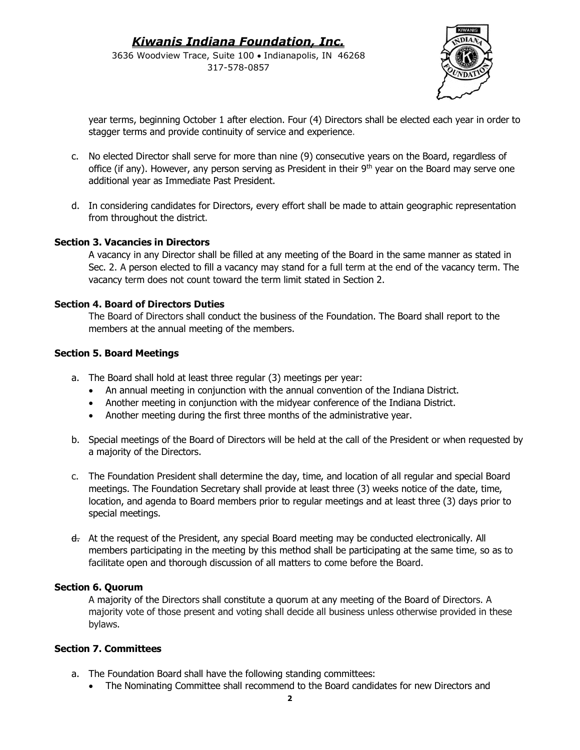3636 Woodview Trace, Suite 100 • Indianapolis, IN 46268 317-578-0857



year terms, beginning October 1 after election. Four (4) Directors shall be elected each year in order to stagger terms and provide continuity of service and experience.

- c. No elected Director shall serve for more than nine (9) consecutive years on the Board, regardless of office (if any). However, any person serving as President in their  $9<sup>th</sup>$  year on the Board may serve one additional year as Immediate Past President.
- d. In considering candidates for Directors, every effort shall be made to attain geographic representation from throughout the district.

### **Section 3. Vacancies in Directors**

A vacancy in any Director shall be filled at any meeting of the Board in the same manner as stated in Sec. 2. A person elected to fill a vacancy may stand for a full term at the end of the vacancy term. The vacancy term does not count toward the term limit stated in Section 2.

### **Section 4. Board of Directors Duties**

The Board of Directors shall conduct the business of the Foundation. The Board shall report to the members at the annual meeting of the members.

### **Section 5. Board Meetings**

- a. The Board shall hold at least three regular (3) meetings per year:
	- An annual meeting in conjunction with the annual convention of the Indiana District.
	- Another meeting in conjunction with the midyear conference of the Indiana District.
	- Another meeting during the first three months of the administrative year.
- b. Special meetings of the Board of Directors will be held at the call of the President or when requested by a majority of the Directors.
- c. The Foundation President shall determine the day, time, and location of all regular and special Board meetings. The Foundation Secretary shall provide at least three (3) weeks notice of the date, time, location, and agenda to Board members prior to regular meetings and at least three (3) days prior to special meetings.
- d. At the request of the President, any special Board meeting may be conducted electronically. All members participating in the meeting by this method shall be participating at the same time, so as to facilitate open and thorough discussion of all matters to come before the Board.

### **Section 6. Quorum**

A majority of the Directors shall constitute a quorum at any meeting of the Board of Directors. A majority vote of those present and voting shall decide all business unless otherwise provided in these bylaws.

### **Section 7. Committees**

- a. The Foundation Board shall have the following standing committees:
	- The Nominating Committee shall recommend to the Board candidates for new Directors and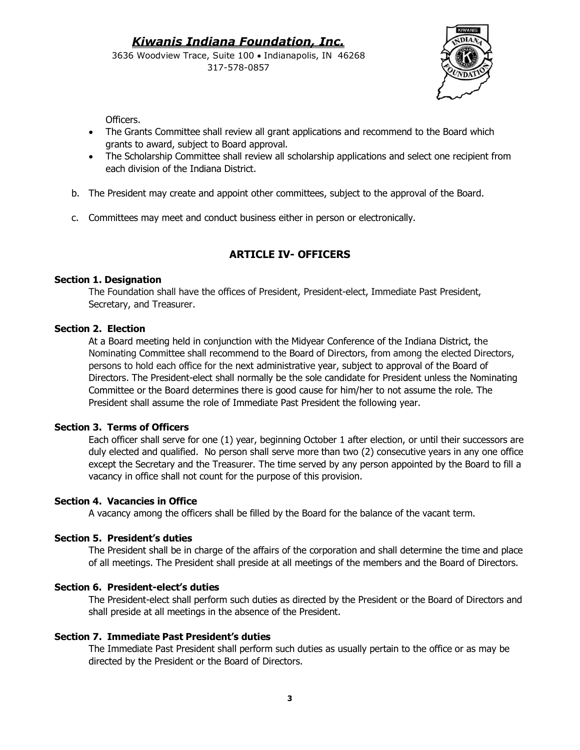3636 Woodview Trace, Suite 100 • Indianapolis, IN 46268 317-578-0857



Officers.

- The Grants Committee shall review all grant applications and recommend to the Board which grants to award, subject to Board approval.
- The Scholarship Committee shall review all scholarship applications and select one recipient from each division of the Indiana District.
- b. The President may create and appoint other committees, subject to the approval of the Board.
- c. Committees may meet and conduct business either in person or electronically.

# **ARTICLE IV- OFFICERS**

### **Section 1. Designation**

The Foundation shall have the offices of President, President-elect, Immediate Past President, Secretary, and Treasurer.

# **Section 2. Election**

At a Board meeting held in conjunction with the Midyear Conference of the Indiana District, the Nominating Committee shall recommend to the Board of Directors, from among the elected Directors, persons to hold each office for the next administrative year, subject to approval of the Board of Directors. The President-elect shall normally be the sole candidate for President unless the Nominating Committee or the Board determines there is good cause for him/her to not assume the role. The President shall assume the role of Immediate Past President the following year.

### **Section 3. Terms of Officers**

Each officer shall serve for one (1) year, beginning October 1 after election, or until their successors are duly elected and qualified. No person shall serve more than two (2) consecutive years in any one office except the Secretary and the Treasurer. The time served by any person appointed by the Board to fill a vacancy in office shall not count for the purpose of this provision.

### **Section 4. Vacancies in Office**

A vacancy among the officers shall be filled by the Board for the balance of the vacant term.

### **Section 5. President's duties**

The President shall be in charge of the affairs of the corporation and shall determine the time and place of all meetings. The President shall preside at all meetings of the members and the Board of Directors.

# **Section 6. President-elect's duties**

The President-elect shall perform such duties as directed by the President or the Board of Directors and shall preside at all meetings in the absence of the President.

### **Section 7. Immediate Past President's duties**

The Immediate Past President shall perform such duties as usually pertain to the office or as may be directed by the President or the Board of Directors.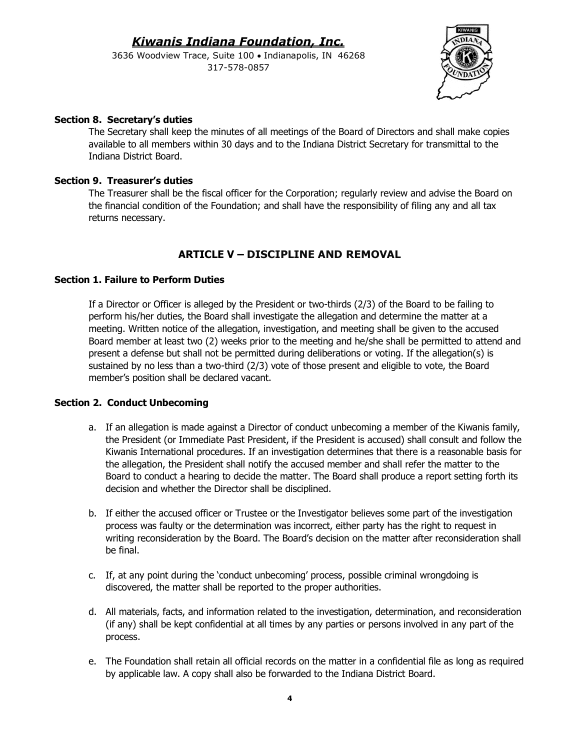3636 Woodview Trace, Suite 100 • Indianapolis, IN 46268 317-578-0857



# **Section 8. Secretary's duties**

The Secretary shall keep the minutes of all meetings of the Board of Directors and shall make copies available to all members within 30 days and to the Indiana District Secretary for transmittal to the Indiana District Board.

# **Section 9. Treasurer's duties**

The Treasurer shall be the fiscal officer for the Corporation; regularly review and advise the Board on the financial condition of the Foundation; and shall have the responsibility of filing any and all tax returns necessary.

# **ARTICLE V – DISCIPLINE AND REMOVAL**

# **Section 1. Failure to Perform Duties**

If a Director or Officer is alleged by the President or two-thirds (2/3) of the Board to be failing to perform his/her duties, the Board shall investigate the allegation and determine the matter at a meeting. Written notice of the allegation, investigation, and meeting shall be given to the accused Board member at least two (2) weeks prior to the meeting and he/she shall be permitted to attend and present a defense but shall not be permitted during deliberations or voting. If the allegation(s) is sustained by no less than a two-third (2/3) vote of those present and eligible to vote, the Board member's position shall be declared vacant.

### **Section 2. Conduct Unbecoming**

- a. If an allegation is made against a Director of conduct unbecoming a member of the Kiwanis family, the President (or Immediate Past President, if the President is accused) shall consult and follow the Kiwanis International procedures. If an investigation determines that there is a reasonable basis for the allegation, the President shall notify the accused member and shall refer the matter to the Board to conduct a hearing to decide the matter. The Board shall produce a report setting forth its decision and whether the Director shall be disciplined.
- b. If either the accused officer or Trustee or the Investigator believes some part of the investigation process was faulty or the determination was incorrect, either party has the right to request in writing reconsideration by the Board. The Board's decision on the matter after reconsideration shall be final.
- c. If, at any point during the 'conduct unbecoming' process, possible criminal wrongdoing is discovered, the matter shall be reported to the proper authorities.
- d. All materials, facts, and information related to the investigation, determination, and reconsideration (if any) shall be kept confidential at all times by any parties or persons involved in any part of the process.
- e. The Foundation shall retain all official records on the matter in a confidential file as long as required by applicable law. A copy shall also be forwarded to the Indiana District Board.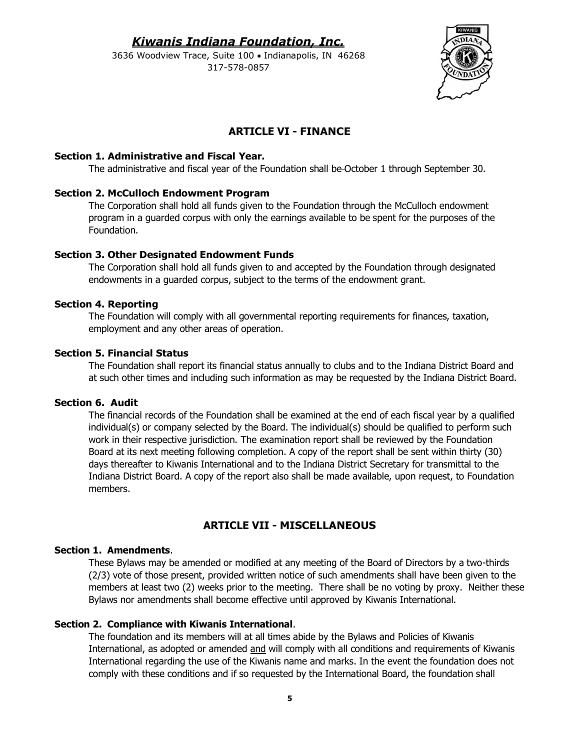3636 Woodview Trace, Suite 100 • Indianapolis, IN 46268 317-578-0857



# **ARTICLE VI - FINANCE**

### **Section 1. Administrative and Fiscal Year.**

The administrative and fiscal year of the Foundation shall be October 1 through September 30.

### **Section 2. McCulloch Endowment Program**

The Corporation shall hold all funds given to the Foundation through the McCulloch endowment program in a guarded corpus with only the earnings available to be spent for the purposes of the Foundation.

### **Section 3. Other Designated Endowment Funds**

The Corporation shall hold all funds given to and accepted by the Foundation through designated endowments in a guarded corpus, subject to the terms of the endowment grant.

### **Section 4. Reporting**

The Foundation will comply with all governmental reporting requirements for finances, taxation, employment and any other areas of operation.

### **Section 5. Financial Status**

The Foundation shall report its financial status annually to clubs and to the Indiana District Board and at such other times and including such information as may be requested by the Indiana District Board.

#### **Section 6. Audit**

The financial records of the Foundation shall be examined at the end of each fiscal year by a qualified individual(s) or company selected by the Board. The individual(s) should be qualified to perform such work in their respective jurisdiction. The examination report shall be reviewed by the Foundation Board at its next meeting following completion. A copy of the report shall be sent within thirty (30) days thereafter to Kiwanis International and to the Indiana District Secretary for transmittal to the Indiana District Board. A copy of the report also shall be made available, upon request, to Foundation members.

# **ARTICLE VII - MISCELLANEOUS**

# **Section 1. Amendments**.

These Bylaws may be amended or modified at any meeting of the Board of Directors by a two-thirds (2/3) vote of those present, provided written notice of such amendments shall have been given to the members at least two (2) weeks prior to the meeting. There shall be no voting by proxy. Neither these Bylaws nor amendments shall become effective until approved by Kiwanis International.

### **Section 2. Compliance with Kiwanis International**.

The foundation and its members will at all times abide by the Bylaws and Policies of Kiwanis International, as adopted or amended and will comply with all conditions and requirements of Kiwanis International regarding the use of the Kiwanis name and marks. In the event the foundation does not comply with these conditions and if so requested by the International Board, the foundation shall